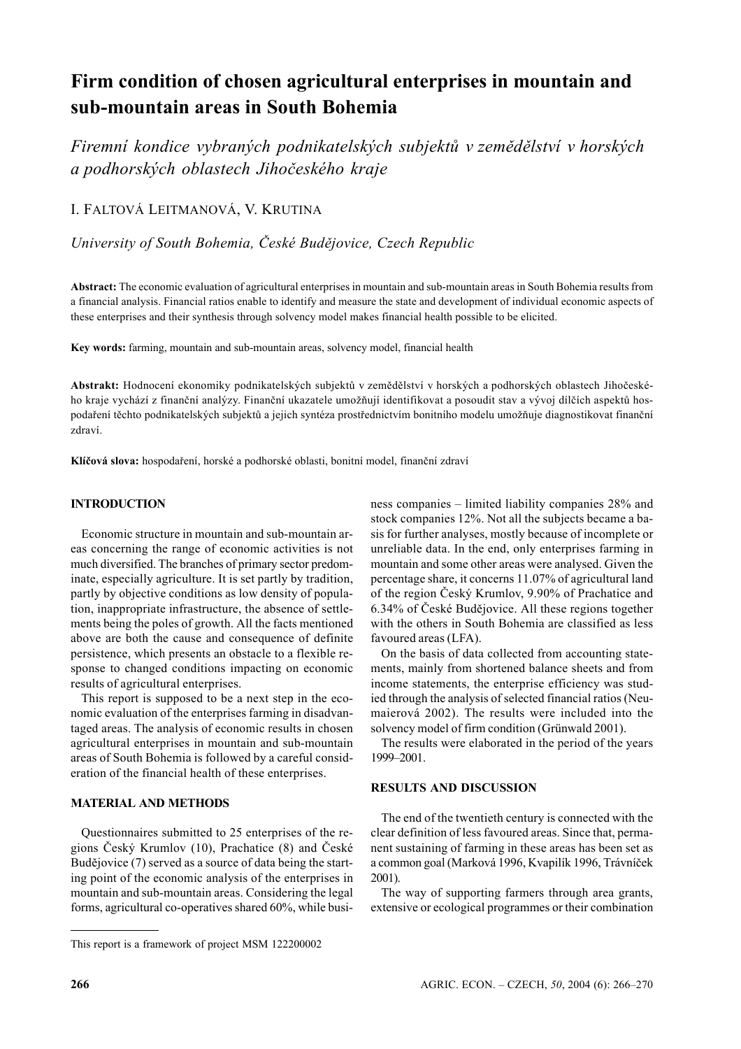# **Firm condition of chosen agricultural enterprises in mountain and sub-mountain areas in South Bohemia**

*Firemní kondice vybraných podnikatelských subjektů v zemědělství v horských a podhorských oblastech Jihočeského kraje*

I. FALTOVÁ LEITMANOVÁ, V. KRUTINA

*University of South Bohemia, České Budějovice, Czech Republic*

**Abstract:** The economic evaluation of agricultural enterprises in mountain and sub-mountain areas in South Bohemia results from a financial analysis. Financial ratios enable to identify and measure the state and development of individual economic aspects of these enterprises and their synthesis through solvency model makes financial health possible to be elicited.

**Key words:** farming, mountain and sub-mountain areas, solvency model, financial health

**Abstrakt:** Hodnocení ekonomiky podnikatelských subjektů v zemědělství v horských a podhorských oblastech Jihočeského kraje vychází z finanční analýzy. Finanční ukazatele umožňují identifikovat a posoudit stav a vývoj dílčích aspektů hospodaření těchto podnikatelských subjektů a jejich syntéza prostřednictvím bonitního modelu umožňuje diagnostikovat finanční zdraví.

**Klíčová slova:** hospodaření, horské a podhorské oblasti, bonitní model, finanční zdraví

#### **INTRODUCTION**

Economic structure in mountain and sub-mountain areas concerning the range of economic activities is not much diversified. The branches of primary sector predominate, especially agriculture. It is set partly by tradition, partly by objective conditions as low density of population, inappropriate infrastructure, the absence of settlements being the poles of growth. All the facts mentioned above are both the cause and consequence of definite persistence, which presents an obstacle to a flexible response to changed conditions impacting on economic results of agricultural enterprises.

This report is supposed to be a next step in the economic evaluation of the enterprises farming in disadvantaged areas. The analysis of economic results in chosen agricultural enterprises in mountain and sub-mountain areas of South Bohemia is followed by a careful consideration of the financial health of these enterprises.

## **MATERIAL AND METHODS**

Questionnaires submitted to 25 enterprises of the regions Český Krumlov (10), Prachatice (8) and České Budějovice (7) served as a source of data being the starting point of the economic analysis of the enterprises in mountain and sub-mountain areas. Considering the legal forms, agricultural co-operatives shared 60%, while busi-

This report is a framework of project MSM 122200002

ness companies – limited liability companies 28% and stock companies 12%. Not all the subjects became a basis for further analyses, mostly because of incomplete or unreliable data. In the end, only enterprises farming in mountain and some other areas were analysed. Given the percentage share, it concerns 11.07% of agricultural land of the region Český Krumlov, 9.90% of Prachatice and 6.34% of České Budějovice. All these regions together with the others in South Bohemia are classified as less favoured areas (LFA).

On the basis of data collected from accounting statements, mainly from shortened balance sheets and from income statements, the enterprise efficiency was studied through the analysis of selected financial ratios (Neumaierová 2002). The results were included into the solvency model of firm condition (Grünwald 2001).

The results were elaborated in the period of the years 1999–2001.

### **RESULTS AND DISCUSSION**

The end of the twentieth century is connected with the clear definition of less favoured areas. Since that, permanent sustaining of farming in these areas has been set as a common goal (Marková 1996, Kvapilík 1996, Trávníček 2001).

The way of supporting farmers through area grants, extensive or ecological programmes or their combination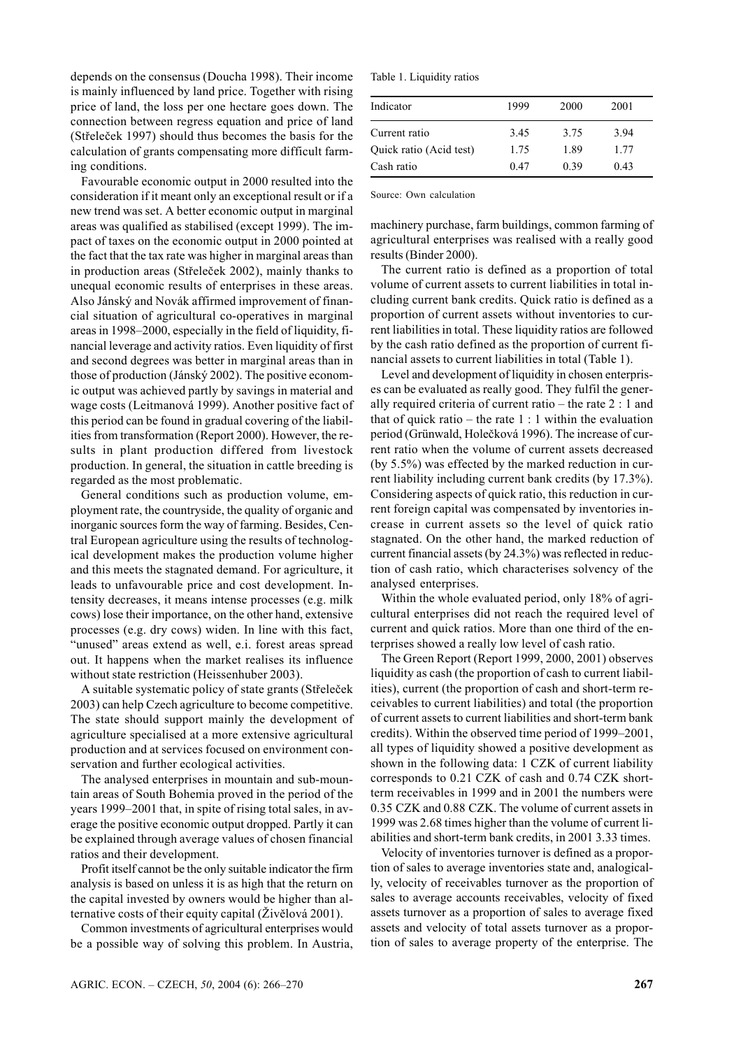depends on the consensus (Doucha 1998). Their income is mainly influenced by land price. Together with rising price of land, the loss per one hectare goes down. The connection between regress equation and price of land (Střeleček 1997) should thus becomes the basis for the calculation of grants compensating more difficult farming conditions.

Favourable economic output in 2000 resulted into the consideration if it meant only an exceptional result or if a new trend was set. A better economic output in marginal areas was qualified as stabilised (except 1999). The impact of taxes on the economic output in 2000 pointed at the fact that the tax rate was higher in marginal areas than in production areas (Střeleček 2002), mainly thanks to unequal economic results of enterprises in these areas. Also Jánský and Novák affirmed improvement of financial situation of agricultural co-operatives in marginal areas in 1998–2000, especially in the field of liquidity, financial leverage and activity ratios. Even liquidity of first and second degrees was better in marginal areas than in those of production (Jánský 2002). The positive economic output was achieved partly by savings in material and wage costs (Leitmanová 1999). Another positive fact of this period can be found in gradual covering of the liabilities from transformation (Report 2000). However, the results in plant production differed from livestock production. In general, the situation in cattle breeding is regarded as the most problematic.

General conditions such as production volume, employment rate, the countryside, the quality of organic and inorganic sources form the way of farming. Besides, Central European agriculture using the results of technological development makes the production volume higher and this meets the stagnated demand. For agriculture, it leads to unfavourable price and cost development. Intensity decreases, it means intense processes (e.g. milk cows) lose their importance, on the other hand, extensive processes (e.g. dry cows) widen. In line with this fact, "unused" areas extend as well, e.i. forest areas spread out. It happens when the market realises its influence without state restriction (Heissenhuber 2003).

A suitable systematic policy of state grants (Střeleček 2003) can help Czech agriculture to become competitive. The state should support mainly the development of agriculture specialised at a more extensive agricultural production and at services focused on environment conservation and further ecological activities.

The analysed enterprises in mountain and sub-mountain areas of South Bohemia proved in the period of the years 1999–2001 that, in spite of rising total sales, in average the positive economic output dropped. Partly it can be explained through average values of chosen financial ratios and their development.

Profit itself cannot be the only suitable indicator the firm analysis is based on unless it is as high that the return on the capital invested by owners would be higher than alternative costs of their equity capital (Živělová 2001).

Common investments of agricultural enterprises would be a possible way of solving this problem. In Austria,

Table 1. Liquidity ratios

| Indicator               | 1999 | 2000 | 2001 |
|-------------------------|------|------|------|
| Current ratio           | 3.45 | 3.75 | 3.94 |
| Quick ratio (Acid test) | 1.75 | 1.89 | 1 77 |
| Cash ratio              | 0.47 | 0.39 | 0.43 |

Source: Own calculation

machinery purchase, farm buildings, common farming of agricultural enterprises was realised with a really good results (Binder 2000).

The current ratio is defined as a proportion of total volume of current assets to current liabilities in total including current bank credits. Quick ratio is defined as a proportion of current assets without inventories to current liabilities in total. These liquidity ratios are followed by the cash ratio defined as the proportion of current financial assets to current liabilities in total (Table 1).

Level and development of liquidity in chosen enterprises can be evaluated as really good. They fulfil the generally required criteria of current ratio – the rate 2 : 1 and that of quick ratio – the rate  $1:1$  within the evaluation period (Grünwald, Holečková 1996). The increase of current ratio when the volume of current assets decreased (by 5.5%) was effected by the marked reduction in current liability including current bank credits (by 17.3%). Considering aspects of quick ratio, this reduction in current foreign capital was compensated by inventories increase in current assets so the level of quick ratio stagnated. On the other hand, the marked reduction of current financial assets (by 24.3%) was reflected in reduction of cash ratio, which characterises solvency of the analysed enterprises.

Within the whole evaluated period, only 18% of agricultural enterprises did not reach the required level of current and quick ratios. More than one third of the enterprises showed a really low level of cash ratio.

The Green Report (Report 1999, 2000, 2001) observes liquidity as cash (the proportion of cash to current liabilities), current (the proportion of cash and short-term receivables to current liabilities) and total (the proportion of current assets to current liabilities and short-term bank credits). Within the observed time period of 1999–2001, all types of liquidity showed a positive development as shown in the following data: 1 CZK of current liability corresponds to 0.21 CZK of cash and 0.74 CZK shortterm receivables in 1999 and in 2001 the numbers were 0.35 CZK and 0.88 CZK. The volume of current assets in 1999 was 2.68 times higher than the volume of current liabilities and short-term bank credits, in 2001 3.33 times.

Velocity of inventories turnover is defined as a proportion of sales to average inventories state and, analogically, velocity of receivables turnover as the proportion of sales to average accounts receivables, velocity of fixed assets turnover as a proportion of sales to average fixed assets and velocity of total assets turnover as a proportion of sales to average property of the enterprise. The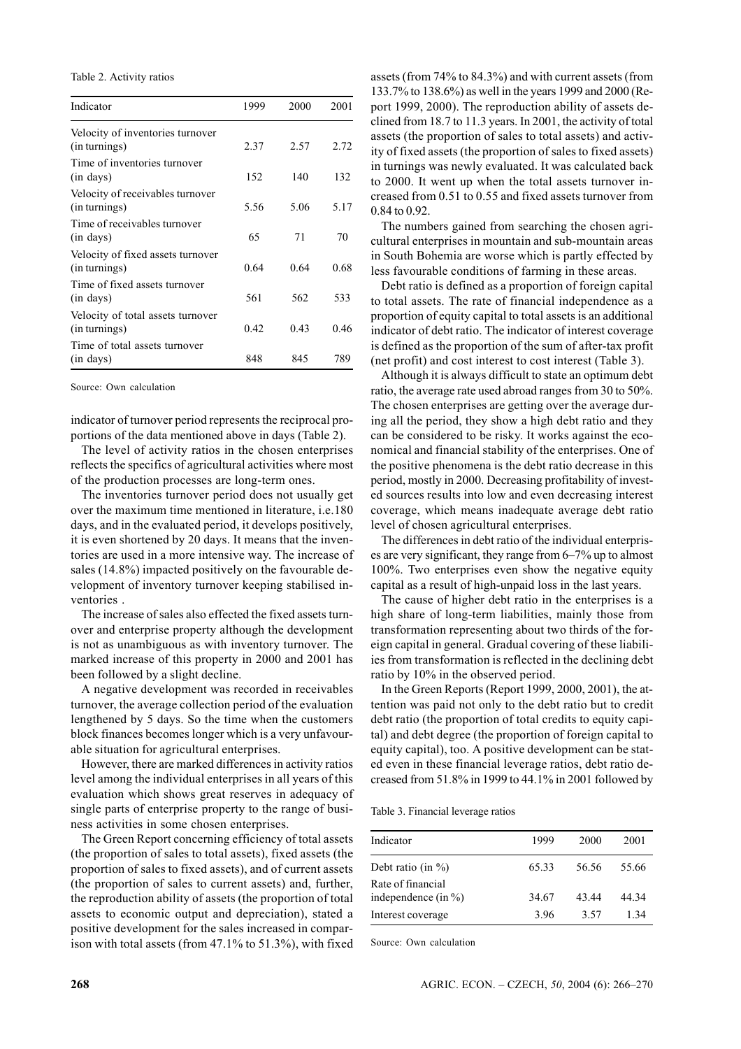Table 2. Activity ratios

| Indicator                                          | 1999 | 2000 | 2001 |
|----------------------------------------------------|------|------|------|
| Velocity of inventories turnover<br>(in turnings)  | 2.37 | 2.57 | 2.72 |
| Time of inventories turnover<br>(in days)          | 152  | 140  | 132  |
| Velocity of receivables turnover<br>(in turnings)  | 5.56 | 5.06 | 5.17 |
| Time of receivables turnover<br>(in days)          | 65   | 71   | 70   |
| Velocity of fixed assets turnover<br>(in turnings) | 0.64 | 0.64 | 0.68 |
| Time of fixed assets turnover<br>(in days)         | 561  | 562  | 533  |
| Velocity of total assets turnover<br>(in turnings) | 0.42 | 0.43 | 0.46 |
| Time of total assets turnover<br>(in days)         | 848  | 845  | 789  |

Source: Own calculation

indicator of turnover period represents the reciprocal proportions of the data mentioned above in days (Table 2).

The level of activity ratios in the chosen enterprises reflects the specifics of agricultural activities where most of the production processes are long-term ones.

The inventories turnover period does not usually get over the maximum time mentioned in literature, i.e.180 days, and in the evaluated period, it develops positively, it is even shortened by 20 days. It means that the inventories are used in a more intensive way. The increase of sales (14.8%) impacted positively on the favourable development of inventory turnover keeping stabilised inventories .

The increase of sales also effected the fixed assets turnover and enterprise property although the development is not as unambiguous as with inventory turnover. The marked increase of this property in 2000 and 2001 has been followed by a slight decline.

A negative development was recorded in receivables turnover, the average collection period of the evaluation lengthened by 5 days. So the time when the customers block finances becomes longer which is a very unfavourable situation for agricultural enterprises.

However, there are marked differences in activity ratios level among the individual enterprises in all years of this evaluation which shows great reserves in adequacy of single parts of enterprise property to the range of business activities in some chosen enterprises.

The Green Report concerning efficiency of total assets (the proportion of sales to total assets), fixed assets (the proportion of sales to fixed assets), and of current assets (the proportion of sales to current assets) and, further, the reproduction ability of assets (the proportion of total assets to economic output and depreciation), stated a positive development for the sales increased in comparison with total assets (from 47.1% to 51.3%), with fixed assets (from 74% to 84.3%) and with current assets (from 133.7% to 138.6%) as well in the years 1999 and 2000 (Report 1999, 2000). The reproduction ability of assets declined from 18.7 to 11.3 years. In 2001, the activity of total assets (the proportion of sales to total assets) and activity of fixed assets (the proportion of sales to fixed assets) in turnings was newly evaluated. It was calculated back to 2000. It went up when the total assets turnover increased from 0.51 to 0.55 and fixed assets turnover from 0.84 to 0.92

The numbers gained from searching the chosen agricultural enterprises in mountain and sub-mountain areas in South Bohemia are worse which is partly effected by less favourable conditions of farming in these areas.

Debt ratio is defined as a proportion of foreign capital to total assets. The rate of financial independence as a proportion of equity capital to total assets is an additional indicator of debt ratio. The indicator of interest coverage is defined as the proportion of the sum of after-tax profit (net profit) and cost interest to cost interest (Table 3).

Although it is always difficult to state an optimum debt ratio, the average rate used abroad ranges from 30 to 50%. The chosen enterprises are getting over the average during all the period, they show a high debt ratio and they can be considered to be risky. It works against the economical and financial stability of the enterprises. One of the positive phenomena is the debt ratio decrease in this period, mostly in 2000. Decreasing profitability of invested sources results into low and even decreasing interest coverage, which means inadequate average debt ratio level of chosen agricultural enterprises.

The differences in debt ratio of the individual enterprises are very significant, they range from 6–7% up to almost 100%. Two enterprises even show the negative equity capital as a result of high-unpaid loss in the last years.

The cause of higher debt ratio in the enterprises is a high share of long-term liabilities, mainly those from transformation representing about two thirds of the foreign capital in general. Gradual covering of these liabiliies from transformation is reflected in the declining debt ratio by 10% in the observed period.

In the Green Reports (Report 1999, 2000, 2001), the attention was paid not only to the debt ratio but to credit debt ratio (the proportion of total credits to equity capital) and debt degree (the proportion of foreign capital to equity capital), too. A positive development can be stated even in these financial leverage ratios, debt ratio decreased from 51.8% in 1999 to 44.1% in 2001 followed by

Table 3. Financial leverage ratios

| Indicator                                    | 1999  | 2000  | 2001  |
|----------------------------------------------|-------|-------|-------|
| Debt ratio (in $\%$ )                        | 65.33 | 56.56 | 55.66 |
| Rate of financial<br>independence (in $\%$ ) | 34.67 | 43 44 | 44 34 |
| Interest coverage                            | 396   | 3.57  | 1 34  |

Source: Own calculation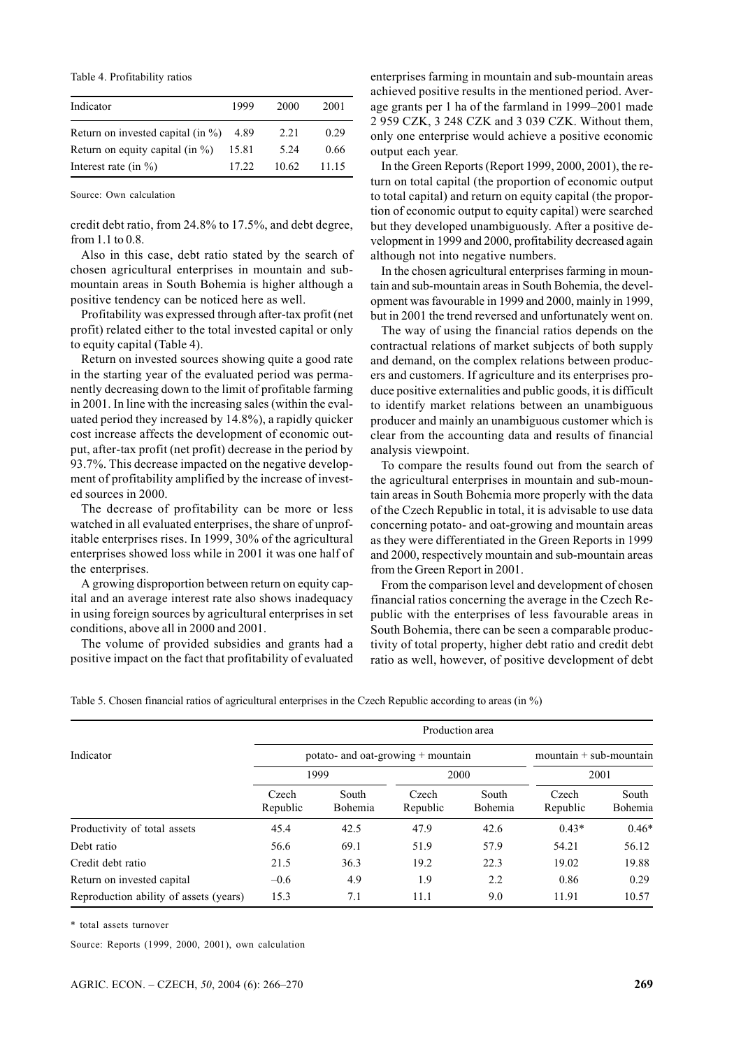Table 4. Profitability ratios

| Indicator                             | 1999  | 2000  | 2001  |
|---------------------------------------|-------|-------|-------|
| Return on invested capital (in $\%$ ) | 4.89  | 2.21  | 0.29  |
| Return on equity capital (in $\%$ )   | 15.81 | 5.24  | 0.66  |
| Interest rate (in $\%$ )              | 17.22 | 10.62 | 11.15 |

Source: Own calculation

credit debt ratio, from 24.8% to 17.5%, and debt degree, from 1.1 to 0.8.

Also in this case, debt ratio stated by the search of chosen agricultural enterprises in mountain and submountain areas in South Bohemia is higher although a positive tendency can be noticed here as well.

Profitability was expressed through after-tax profit (net profit) related either to the total invested capital or only to equity capital (Table 4).

Return on invested sources showing quite a good rate in the starting year of the evaluated period was permanently decreasing down to the limit of profitable farming in 2001. In line with the increasing sales (within the evaluated period they increased by 14.8%), a rapidly quicker cost increase affects the development of economic output, after-tax profit (net profit) decrease in the period by 93.7%. This decrease impacted on the negative development of profitability amplified by the increase of invested sources in 2000.

The decrease of profitability can be more or less watched in all evaluated enterprises, the share of unprofitable enterprises rises. In 1999, 30% of the agricultural enterprises showed loss while in 2001 it was one half of the enterprises.

A growing disproportion between return on equity capital and an average interest rate also shows inadequacy in using foreign sources by agricultural enterprises in set conditions, above all in 2000 and 2001.

The volume of provided subsidies and grants had a positive impact on the fact that profitability of evaluated enterprises farming in mountain and sub-mountain areas achieved positive results in the mentioned period. Average grants per 1 ha of the farmland in 1999–2001 made 2 959 CZK, 3 248 CZK and 3 039 CZK. Without them, only one enterprise would achieve a positive economic output each year.

In the Green Reports (Report 1999, 2000, 2001), the return on total capital (the proportion of economic output to total capital) and return on equity capital (the proportion of economic output to equity capital) were searched but they developed unambiguously. After a positive development in 1999 and 2000, profitability decreased again although not into negative numbers.

In the chosen agricultural enterprises farming in mountain and sub-mountain areas in South Bohemia, the development was favourable in 1999 and 2000, mainly in 1999, but in 2001 the trend reversed and unfortunately went on.

The way of using the financial ratios depends on the contractual relations of market subjects of both supply and demand, on the complex relations between producers and customers. If agriculture and its enterprises produce positive externalities and public goods, it is difficult to identify market relations between an unambiguous producer and mainly an unambiguous customer which is clear from the accounting data and results of financial analysis viewpoint.

To compare the results found out from the search of the agricultural enterprises in mountain and sub-mountain areas in South Bohemia more properly with the data of the Czech Republic in total, it is advisable to use data concerning potato- and oat-growing and mountain areas as they were differentiated in the Green Reports in 1999 and 2000, respectively mountain and sub-mountain areas from the Green Report in 2001.

From the comparison level and development of chosen financial ratios concerning the average in the Czech Republic with the enterprises of less favourable areas in South Bohemia, there can be seen a comparable productivity of total property, higher debt ratio and credit debt ratio as well, however, of positive development of debt

Table 5. Chosen financial ratios of agricultural enterprises in the Czech Republic according to areas (in %)

| Indicator                              | Production area                      |                  |                   |                  |                           |                  |
|----------------------------------------|--------------------------------------|------------------|-------------------|------------------|---------------------------|------------------|
|                                        | potato- and oat-growing $+$ mountain |                  |                   |                  | $mountain + sub-mountain$ |                  |
|                                        | 1999                                 |                  | 2000              |                  | 2001                      |                  |
|                                        | Czech<br>Republic                    | South<br>Bohemia | Czech<br>Republic | South<br>Bohemia | Czech<br>Republic         | South<br>Bohemia |
| Productivity of total assets           | 45.4                                 | 42.5             | 47.9              | 42.6             | $0.43*$                   | $0.46*$          |
| Debt ratio                             | 56.6                                 | 69.1             | 51.9              | 57.9             | 54.21                     | 56.12            |
| Credit debt ratio                      | 21.5                                 | 36.3             | 19.2              | 22.3             | 19.02                     | 19.88            |
| Return on invested capital             | $-0.6$                               | 4.9              | 1.9               | 2.2              | 0.86                      | 0.29             |
| Reproduction ability of assets (years) | 15.3                                 | 7.1              | 11.1              | 9.0              | 11.91                     | 10.57            |

\* total assets turnover

Source: Reports (1999, 2000, 2001), own calculation